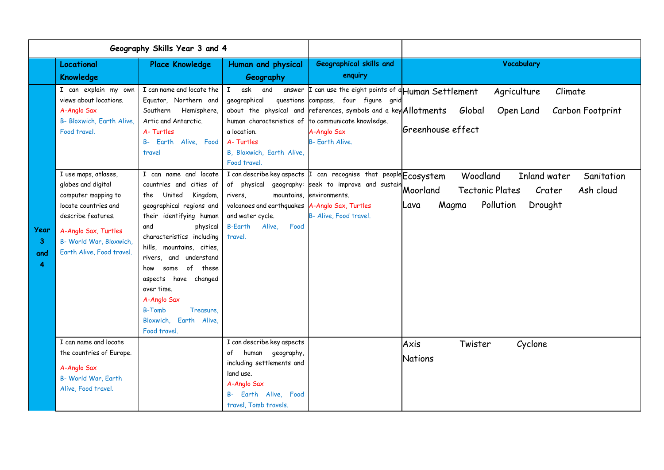| Geography Skills Year 3 and 4      |                                                                                                                                                                                                                                                                                                               |                                                                                                                                                                                                                                                                                                                                                                                                                                                             |                                                                                                                                                                                                                                                                          |                                                                                                                                                                                                                                                                                                                                                                                                                             |                                                                                                                                                                                                                            |
|------------------------------------|---------------------------------------------------------------------------------------------------------------------------------------------------------------------------------------------------------------------------------------------------------------------------------------------------------------|-------------------------------------------------------------------------------------------------------------------------------------------------------------------------------------------------------------------------------------------------------------------------------------------------------------------------------------------------------------------------------------------------------------------------------------------------------------|--------------------------------------------------------------------------------------------------------------------------------------------------------------------------------------------------------------------------------------------------------------------------|-----------------------------------------------------------------------------------------------------------------------------------------------------------------------------------------------------------------------------------------------------------------------------------------------------------------------------------------------------------------------------------------------------------------------------|----------------------------------------------------------------------------------------------------------------------------------------------------------------------------------------------------------------------------|
|                                    | Locational<br><b>Knowledge</b>                                                                                                                                                                                                                                                                                | <b>Place Knowledge</b>                                                                                                                                                                                                                                                                                                                                                                                                                                      | Human and physical<br>Geography                                                                                                                                                                                                                                          | <b>Geographical skills and</b><br>enquiry                                                                                                                                                                                                                                                                                                                                                                                   | <b>Vocabulary</b>                                                                                                                                                                                                          |
| Year<br>3 <sup>1</sup><br>and<br>4 | I can explain my own<br>views about locations.<br>A-Anglo Sax<br>B- Bloxwich, Earth Alive,<br>Food travel.<br>I use maps, atlases,<br>globes and digital<br>computer mapping to<br>locate countries and<br>describe features.<br>A-Anglo Sax, Turtles<br>B- World War, Bloxwich,<br>Earth Alive, Food travel. | I can name and locate the<br>Equator, Northern and<br>Southern Hemisphere,<br>Artic and Antarctic.<br>A-Turtles<br>B- Earth Alive, Food<br>travel<br>I can name and locate<br>countries and cities of<br>the United<br>Kingdom,<br>geographical regions and<br>their identifying human<br>and<br>physical<br>characteristics including<br>hills, mountains, cities,<br>rivers, and understand<br>some of these<br>how<br>aspects have changed<br>over time. | I ask and<br>answer<br>geographical<br>questions<br>a location.<br>A-Turtles<br>B, Bloxwich, Earth Alive,<br>Food travel.<br>of physical<br>rivers,<br>volcanoes and earthquakes A-Anglo Sax, Turtles<br>and water cycle.<br><b>B-Earth</b><br>Alive.<br>Food<br>travel. | I can use the eight points of a Human Settlement<br>compass, four figure grid<br>about the physical and references, symbols and a key Allotments<br>human characteristics of to communicate knowledge.<br>A-Anglo Sax<br><b>B- Earth Alive.</b><br>I can describe key aspects I can recognise that people Ecosystem<br>geography: seek to improve and sustain Moorland<br>mountains environments.<br>B- Alive, Food travel. | Agriculture<br>Climate<br>Open Land<br>Carbon Footprint<br>Global<br>Greenhouse effect<br>Woodland<br>Inland water<br>Sanitation<br>Ash cloud<br><b>Tectonic Plates</b><br>Crater<br>Pollution<br>Drought<br>Magma<br>Lava |
|                                    | I can name and locate<br>the countries of Europe.<br>A-Anglo Sax<br>B- World War, Earth<br>Alive, Food travel.                                                                                                                                                                                                | A-Anglo Sax<br><b>B-Tomb</b><br>Treasure.<br>Earth Alive,<br>Bloxwich.<br>Food travel.                                                                                                                                                                                                                                                                                                                                                                      | I can describe key aspects<br>human geography,<br>of<br>including settlements and<br>land use.<br>A-Anglo Sax<br>Earth Alive, Food<br>travel, Tomb travels.                                                                                                              |                                                                                                                                                                                                                                                                                                                                                                                                                             | Axis<br>Twister<br>Cyclone<br><b>Nations</b>                                                                                                                                                                               |